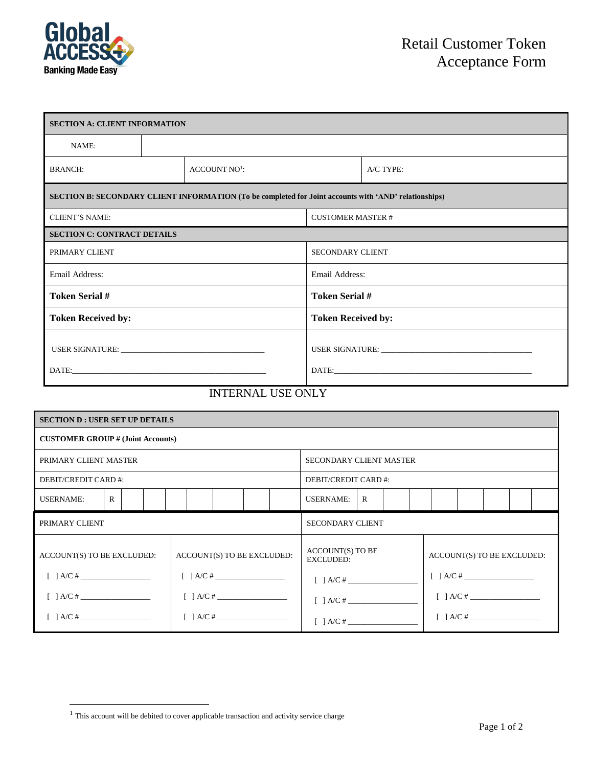

| <b>SECTION A: CLIENT INFORMATION</b>                                                                  |  |                           |                           |             |  |  |  |  |
|-------------------------------------------------------------------------------------------------------|--|---------------------------|---------------------------|-------------|--|--|--|--|
| NAME:                                                                                                 |  |                           |                           |             |  |  |  |  |
| <b>BRANCH:</b>                                                                                        |  | ACCOUNT NO <sup>1</sup> : |                           | $A/C$ TYPE: |  |  |  |  |
| SECTION B: SECONDARY CLIENT INFORMATION (To be completed for Joint accounts with 'AND' relationships) |  |                           |                           |             |  |  |  |  |
| <b>CLIENT'S NAME:</b>                                                                                 |  |                           | <b>CUSTOMER MASTER #</b>  |             |  |  |  |  |
| <b>SECTION C: CONTRACT DETAILS</b>                                                                    |  |                           |                           |             |  |  |  |  |
| PRIMARY CLIENT                                                                                        |  |                           | <b>SECONDARY CLIENT</b>   |             |  |  |  |  |
| Email Address:                                                                                        |  |                           | Email Address:            |             |  |  |  |  |
| <b>Token Serial #</b>                                                                                 |  |                           | <b>Token Serial #</b>     |             |  |  |  |  |
| <b>Token Received by:</b>                                                                             |  |                           | <b>Token Received by:</b> |             |  |  |  |  |
|                                                                                                       |  |                           |                           |             |  |  |  |  |
| <b>INTERNAL USE ONLY</b>                                                                              |  |                           |                           |             |  |  |  |  |

| <b>SECTION D : USER SET UP DETAILS</b>                              |              |  |  |  |                                        |               |                                |  |                                                       |   |  |  |                                                                                |  |  |  |  |
|---------------------------------------------------------------------|--------------|--|--|--|----------------------------------------|---------------|--------------------------------|--|-------------------------------------------------------|---|--|--|--------------------------------------------------------------------------------|--|--|--|--|
| <b>CUSTOMER GROUP # (Joint Accounts)</b>                            |              |  |  |  |                                        |               |                                |  |                                                       |   |  |  |                                                                                |  |  |  |  |
| PRIMARY CLIENT MASTER                                               |              |  |  |  |                                        |               | <b>SECONDARY CLIENT MASTER</b> |  |                                                       |   |  |  |                                                                                |  |  |  |  |
| DEBIT/CREDIT CARD #:                                                |              |  |  |  |                                        |               | DEBIT/CREDIT CARD #:           |  |                                                       |   |  |  |                                                                                |  |  |  |  |
| <b>USERNAME:</b>                                                    | $\mathbf{R}$ |  |  |  |                                        |               |                                |  | <b>USERNAME:</b>                                      | R |  |  |                                                                                |  |  |  |  |
| PRIMARY CLIENT                                                      |              |  |  |  |                                        |               | <b>SECONDARY CLIENT</b>        |  |                                                       |   |  |  |                                                                                |  |  |  |  |
| ACCOUNT(S) TO BE EXCLUDED:<br>$\begin{bmatrix} \end{bmatrix}$ A/C # |              |  |  |  | ACCOUNT(S) TO BE EXCLUDED:<br>[ ] A/C# |               |                                |  | <b>ACCOUNT(S) TO BE</b><br><b>EXCLUDED:</b>           |   |  |  | ACCOUNT(S) TO BE EXCLUDED:<br>$[ ] A/C# \begin{array}{ccc} \hline \end{array}$ |  |  |  |  |
| [ ] A/C#                                                            |              |  |  |  |                                        |               |                                |  | $[ ] A/C#$<br>$[ ] A/C# \begin{array}{c} \end{array}$ |   |  |  | $[ ] A/C # \_$                                                                 |  |  |  |  |
| $\begin{bmatrix} 1 & A/C & \text{if } C \end{bmatrix}$              |              |  |  |  |                                        | $[$ $]$ A/C # |                                |  |                                                       |   |  |  | $\begin{bmatrix} \end{bmatrix}$ A/C #                                          |  |  |  |  |

 $^{\rm 1}$  This account will be debited to cover applicable transaction and activity service charge